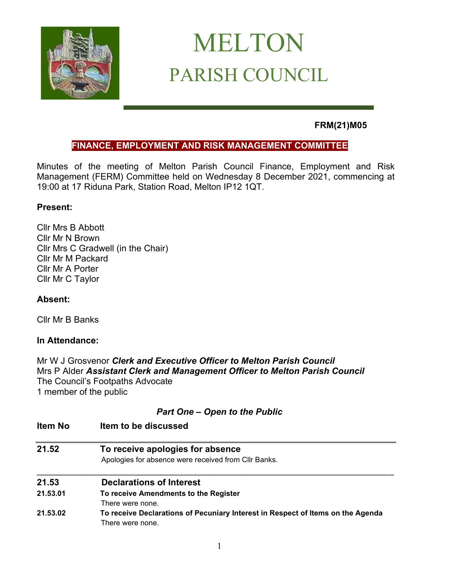

# MELTON PARISH COUNCIL

# **FRM(21)M05**

# **FINANCE, EMPLOYMENT AND RISK MANAGEMENT COMMITTEE**

Minutes of the meeting of Melton Parish Council Finance, Employment and Risk Management (FERM) Committee held on Wednesday 8 December 2021, commencing at 19:00 at 17 Riduna Park, Station Road, Melton IP12 1QT.

## **Present:**

Cllr Mrs B Abbott Cllr Mr N Brown Cllr Mrs C Gradwell (in the Chair) Cllr Mr M Packard Cllr Mr A Porter Cllr Mr C Taylor

# **Absent:**

Cllr Mr B Banks

# **In Attendance:**

Mr W J Grosvenor *Clerk and Executive Officer to Melton Parish Council* Mrs P Alder *Assistant Clerk and Management Officer to Melton Parish Council*  The Council's Footpaths Advocate 1 member of the public

# *Part One – Open to the Public*

| Item No  | Item to be discussed                                                                                |  |
|----------|-----------------------------------------------------------------------------------------------------|--|
| 21.52    | To receive apologies for absence                                                                    |  |
|          | Apologies for absence were received from CIIr Banks.                                                |  |
| 21.53    | <b>Declarations of Interest</b>                                                                     |  |
| 21.53.01 | To receive Amendments to the Register                                                               |  |
|          | There were none.                                                                                    |  |
| 21.53.02 | To receive Declarations of Pecuniary Interest in Respect of Items on the Agenda<br>There were none. |  |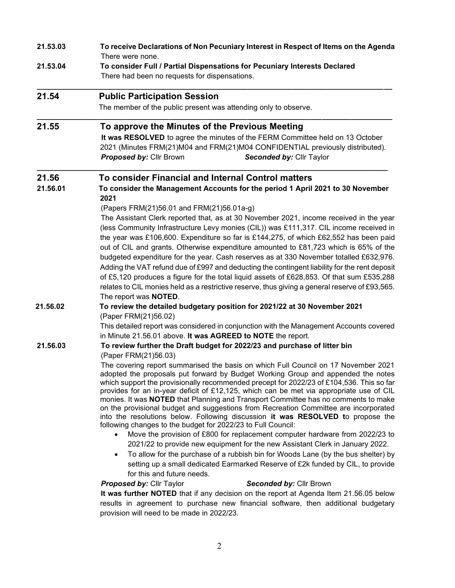| 21.53.03 | To receive Declarations of Non Pecuniary Interest in Respect of Items on the Agenda<br>There were none.                                                                                                                                                                                                                                                                                                                                                                                                                                                                                                                                                                                                                                                                                                                                                                                                                                                                                                                                                                                                                                                                                                                                                                                                                                                                                                                                                                                                                              |
|----------|--------------------------------------------------------------------------------------------------------------------------------------------------------------------------------------------------------------------------------------------------------------------------------------------------------------------------------------------------------------------------------------------------------------------------------------------------------------------------------------------------------------------------------------------------------------------------------------------------------------------------------------------------------------------------------------------------------------------------------------------------------------------------------------------------------------------------------------------------------------------------------------------------------------------------------------------------------------------------------------------------------------------------------------------------------------------------------------------------------------------------------------------------------------------------------------------------------------------------------------------------------------------------------------------------------------------------------------------------------------------------------------------------------------------------------------------------------------------------------------------------------------------------------------|
| 21.53.04 | To consider Full / Partial Dispensations for Pecuniary Interests Declared<br>There had been no requests for dispensations.                                                                                                                                                                                                                                                                                                                                                                                                                                                                                                                                                                                                                                                                                                                                                                                                                                                                                                                                                                                                                                                                                                                                                                                                                                                                                                                                                                                                           |
| 21.54    | <b>Public Participation Session</b>                                                                                                                                                                                                                                                                                                                                                                                                                                                                                                                                                                                                                                                                                                                                                                                                                                                                                                                                                                                                                                                                                                                                                                                                                                                                                                                                                                                                                                                                                                  |
|          | The member of the public present was attending only to observe.                                                                                                                                                                                                                                                                                                                                                                                                                                                                                                                                                                                                                                                                                                                                                                                                                                                                                                                                                                                                                                                                                                                                                                                                                                                                                                                                                                                                                                                                      |
| 21.55    | To approve the Minutes of the Previous Meeting<br>It was RESOLVED to agree the minutes of the FERM Committee held on 13 October<br>2021 (Minutes FRM(21)M04 and FRM(21)M04 CONFIDENTIAL previously distributed).<br>Proposed by: Cllr Brown<br>Seconded by: Cllr Taylor                                                                                                                                                                                                                                                                                                                                                                                                                                                                                                                                                                                                                                                                                                                                                                                                                                                                                                                                                                                                                                                                                                                                                                                                                                                              |
| 21.56    | To consider Financial and Internal Control matters                                                                                                                                                                                                                                                                                                                                                                                                                                                                                                                                                                                                                                                                                                                                                                                                                                                                                                                                                                                                                                                                                                                                                                                                                                                                                                                                                                                                                                                                                   |
| 21.56.01 | To consider the Management Accounts for the period 1 April 2021 to 30 November<br>2021                                                                                                                                                                                                                                                                                                                                                                                                                                                                                                                                                                                                                                                                                                                                                                                                                                                                                                                                                                                                                                                                                                                                                                                                                                                                                                                                                                                                                                               |
|          | (Papers FRM(21)56.01 and FRM(21)56.01a-g)<br>The Assistant Clerk reported that, as at 30 November 2021, income received in the year<br>(less Community Infrastructure Levy monies (CIL)) was £111,317. CIL income received in<br>the year was £106,600. Expenditure so far is £144,275, of which £62,552 has been paid<br>out of CIL and grants. Otherwise expenditure amounted to £81,723 which is 65% of the<br>budgeted expenditure for the year. Cash reserves as at 330 November totalled £632,976.<br>Adding the VAT refund due of £997 and deducting the contingent liability for the rent deposit<br>of £5,120 produces a figure for the total liquid assets of £628,853. Of that sum £535,288<br>relates to CIL monies held as a restrictive reserve, thus giving a general reserve of £93,565.<br>The report was <b>NOTED</b> .                                                                                                                                                                                                                                                                                                                                                                                                                                                                                                                                                                                                                                                                                            |
| 21.56.02 | To review the detailed budgetary position for 2021/22 at 30 November 2021<br>(Paper FRM(21)56.02)<br>This detailed report was considered in conjunction with the Management Accounts covered                                                                                                                                                                                                                                                                                                                                                                                                                                                                                                                                                                                                                                                                                                                                                                                                                                                                                                                                                                                                                                                                                                                                                                                                                                                                                                                                         |
| 21.56.03 | in Minute 21.56.01 above. It was AGREED to NOTE the report.<br>To review further the Draft budget for 2022/23 and purchase of litter bin<br>(Paper FRM(21)56.03)<br>The covering report summarised the basis on which Full Council on 17 November 2021<br>adopted the proposals put forward by Budget Working Group and appended the notes<br>which support the provisionally recommended precept for 2022/23 of £104,536. This so far<br>provides for an in-year deficit of £12,125, which can be met via appropriate use of CIL<br>monies. It was NOTED that Planning and Transport Committee has no comments to make<br>on the provisional budget and suggestions from Recreation Committee are incorporated<br>into the resolutions below. Following discussion it was RESOLVED to propose the<br>following changes to the budget for 2022/23 to Full Council:<br>Move the provision of £800 for replacement computer hardware from 2022/23 to<br>2021/22 to provide new equipment for the new Assistant Clerk in January 2022.<br>To allow for the purchase of a rubbish bin for Woods Lane (by the bus shelter) by<br>setting up a small dedicated Earmarked Reserve of £2k funded by CIL, to provide<br>for this and future needs.<br><b>Proposed by: Cllr Taylor</b><br>Seconded by: Cllr Brown<br>It was further NOTED that if any decision on the report at Agenda Item 21.56.05 below<br>results in agreement to purchase new financial software, then additional budgetary<br>provision will need to be made in 2022/23. |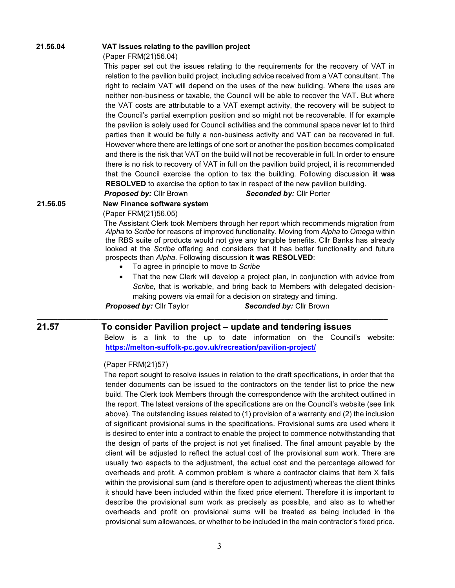#### **21.56.04 VAT issues relating to the pavilion project**

(Paper FRM(21)56.04)

 This paper set out the issues relating to the requirements for the recovery of VAT in relation to the pavilion build project, including advice received from a VAT consultant. The right to reclaim VAT will depend on the uses of the new building. Where the uses are neither non-business or taxable, the Council will be able to recover the VAT. But where the VAT costs are attributable to a VAT exempt activity, the recovery will be subject to the Council's partial exemption position and so might not be recoverable. If for example the pavilion is solely used for Council activities and the communal space never let to third parties then it would be fully a non-business activity and VAT can be recovered in full. However where there are lettings of one sort or another the position becomes complicated and there is the risk that VAT on the build will not be recoverable in full. In order to ensure there is no risk to recovery of VAT in full on the pavilion build project, it is recommended that the Council exercise the option to tax the building. Following discussion **it was RESOLVED** to exercise the option to tax in respect of the new pavilion building.

*Proposed by:* Cllr Brown*Seconded by:* Cllr Porter

#### **21.56.05 New Finance software system**

(Paper FRM(21)56.05)

 The Assistant Clerk took Members through her report which recommends migration from *Alpha* to *Scribe* for reasons of improved functionality. Moving from *Alpha* to *Omega* within the RBS suite of products would not give any tangible benefits. Cllr Banks has already looked at the *Scribe* offering and considers that it has better functionality and future prospects than *Alpha*. Following discussion **it was RESOLVED**:

- To agree in principle to move to *Scribe*
- That the new Clerk will develop a project plan, in conjunction with advice from *Scribe,* that is workable, and bring back to Members with delegated decisionmaking powers via email for a decision on strategy and timing.

*Proposed by:* Cllr Taylor*Seconded by:* Cllr Brown

#### **\_\_\_\_\_\_\_\_\_\_\_\_\_\_\_\_\_\_\_\_\_\_\_\_\_\_\_\_\_\_\_\_\_\_\_\_\_\_\_\_\_\_\_\_\_\_\_\_\_\_\_\_\_\_\_\_\_\_\_\_\_\_\_\_\_\_\_\_\_\_\_\_\_\_\_\_\_\_\_\_\_\_\_\_\_ 21.57 To consider Pavilion project – update and tendering issues**

Below is a link to the up to date information on the Council's website: **<https://melton-suffolk-pc.gov.uk/recreation/pavilion-project/>**

#### (Paper FRM(21)57)

 The report sought to resolve issues in relation to the draft specifications, in order that the tender documents can be issued to the contractors on the tender list to price the new build. The Clerk took Members through the correspondence with the architect outlined in the report. The latest versions of the specifications are on the Council's website (see link above). The outstanding issues related to (1) provision of a warranty and (2) the inclusion of significant provisional sums in the specifications. Provisional sums are used where it is desired to enter into a contract to enable the project to commence notwithstanding that the design of parts of the project is not yet finalised. The final amount payable by the client will be adjusted to reflect the actual cost of the provisional sum work. There are usually two aspects to the adjustment, the actual cost and the percentage allowed for overheads and profit. A common problem is where a contractor claims that item X falls within the provisional sum (and is therefore open to adjustment) whereas the client thinks it should have been included within the fixed price element. Therefore it is important to describe the provisional sum work as precisely as possible, and also as to whether overheads and profit on provisional sums will be treated as being included in the provisional sum allowances, or whether to be included in the main contractor's fixed price.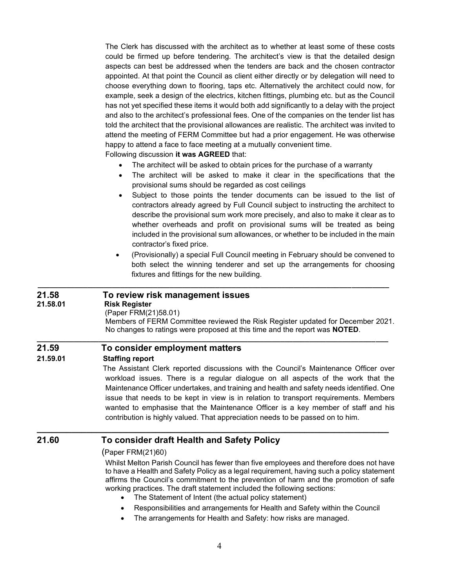The Clerk has discussed with the architect as to whether at least some of these costs could be firmed up before tendering. The architect's view is that the detailed design aspects can best be addressed when the tenders are back and the chosen contractor appointed. At that point the Council as client either directly or by delegation will need to choose everything down to flooring, taps etc. Alternatively the architect could now, for example, seek a design of the electrics, kitchen fittings, plumbing etc. but as the Council has not yet specified these items it would both add significantly to a delay with the project and also to the architect's professional fees. One of the companies on the tender list has told the architect that the provisional allowances are realistic. The architect was invited to attend the meeting of FERM Committee but had a prior engagement. He was otherwise happy to attend a face to face meeting at a mutually convenient time.

Following discussion **it was AGREED** that:

- The architect will be asked to obtain prices for the purchase of a warranty
- The architect will be asked to make it clear in the specifications that the provisional sums should be regarded as cost ceilings
- Subject to those points the tender documents can be issued to the list of contractors already agreed by Full Council subject to instructing the architect to describe the provisional sum work more precisely, and also to make it clear as to whether overheads and profit on provisional sums will be treated as being included in the provisional sum allowances, or whether to be included in the main contractor's fixed price.
- (Provisionally) a special Full Council meeting in February should be convened to both select the winning tenderer and set up the arrangements for choosing fixtures and fittings for the new building.

#### **21.58 To review risk management issues**

#### **21.58.01 Risk Register**

#### (Paper FRM(21)58.01)

Members of FERM Committee reviewed the Risk Register updated for December 2021. No changes to ratings were proposed at this time and the report was **NOTED**.

#### **21.59 To consider employment matters**

#### **21.59.01 Staffing report**

The Assistant Clerk reported discussions with the Council's Maintenance Officer over workload issues. There is a regular dialogue on all aspects of the work that the Maintenance Officer undertakes, and training and health and safety needs identified. One issue that needs to be kept in view is in relation to transport requirements. Members wanted to emphasise that the Maintenance Officer is a key member of staff and his contribution is highly valued. That appreciation needs to be passed on to him.

### **21.60 To consider draft Health and Safety Policy**

#### (Paper FRM(21)60)

Whilst Melton Parish Council has fewer than five employees and therefore does not have to have a Health and Safety Policy as a legal requirement, having such a policy statement affirms the Council's commitment to the prevention of harm and the promotion of safe working practices. The draft statement included the following sections:

The Statement of Intent (the actual policy statement)

**\_\_\_\_\_\_\_\_\_\_\_\_\_\_\_\_\_\_\_\_\_\_\_\_\_\_\_\_\_\_\_\_\_\_\_\_\_\_\_\_\_\_\_\_\_\_\_\_\_\_\_\_\_\_\_\_\_\_\_\_\_\_\_\_\_\_\_\_\_\_\_** 

**\_\_\_\_\_\_\_\_\_\_\_\_\_\_\_\_\_\_\_\_\_\_\_\_\_\_\_\_\_\_\_\_\_\_\_\_\_\_\_\_\_\_\_\_\_\_\_\_\_\_\_\_\_\_\_\_\_\_\_\_\_\_\_\_\_\_\_\_\_\_\_\_\_\_\_\_\_\_\_\_\_\_\_\_\_**

**\_\_\_\_\_\_\_\_\_\_\_\_\_\_\_\_\_\_\_\_\_\_\_\_\_\_\_\_\_\_\_\_\_\_\_\_\_\_\_\_\_\_\_\_\_\_\_\_\_\_\_\_\_\_\_\_\_\_\_\_\_\_\_\_\_\_\_\_\_\_\_\_\_\_\_\_\_\_\_\_\_\_\_\_\_**

- Responsibilities and arrangements for Health and Safety within the Council
- The arrangements for Health and Safety: how risks are managed.